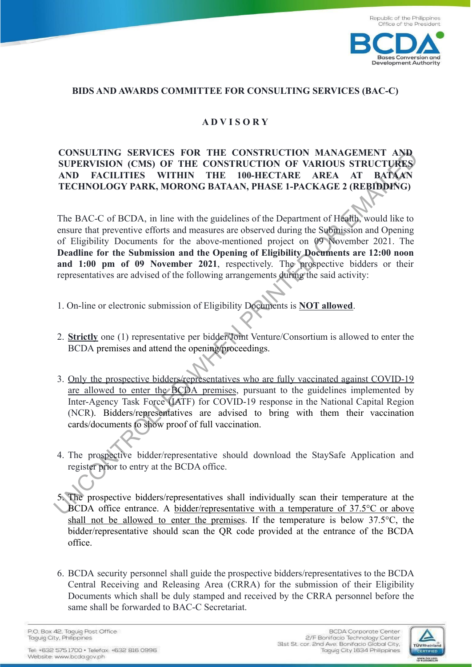

## **BIDS AND AWARDS COMMITTEE FOR CONSULTING SERVICES (BAC-C)**

## **A D V I S O R Y**

## **CONSULTING SERVICES FOR THE CONSTRUCTION MANAGEMENT AND SUPERVISION (CMS) OF THE CONSTRUCTION OF VARIOUS STRUCTURES AND FACILITIES WITHIN THE 100-HECTARE AREA AT BATAAN TECHNOLOGY PARK, MORONG BATAAN, PHASE 1-PACKAGE 2 (REBIDDING)**

The BAC-C of BCDA, in line with the guidelines of the Department of Health, would like to ensure that preventive efforts and measures are observed during the Submission and Opening of Eligibility Documents for the above-mentioned project on 09 November 2021. The **Deadline for the Submission and the Opening of Eligibility Documents are 12:00 noon and 1:00 pm of 09 November 2021**, respectively. The prospective bidders or their representatives are advised of the following arrangements during the said activity: CONSILTING SERVICES FOR THE CONSTRUCTION MANAGEMENT AND<br>
SUPERVISION (CMS) OF THE CONSTRUCTION OF VARIOUS STRUCTURES<br>
AND FACILITIES WITHIN THE 100-HECTARE AREA AT BATAAN<br>
TECHNOLOGY PARK, MORONG BATAAN, PHASE I-PACKAGE 2

- 1. On-line or electronic submission of Eligibility Documents is **NOT allowed**.
- 2. **Strictly** one (1) representative per bidder/Joint Venture/Consortium is allowed to enter the BCDA premises and attend the opening/proceedings.
- 3. Only the prospective bidders/representatives who are fully vaccinated against COVID-19 are allowed to enter the BCDA premises, pursuant to the guidelines implemented by Inter-Agency Task Force (IATF) for COVID-19 response in the National Capital Region (NCR). Bidders/representatives are advised to bring with them their vaccination cards/documents to show proof of full vaccination.
- 4. The prospective bidder/representative should download the StaySafe Application and register prior to entry at the BCDA office.
- 5. The prospective bidders/representatives shall individually scan their temperature at the BCDA office entrance. A bidder/representative with a temperature of 37.5°C or above shall not be allowed to enter the premises. If the temperature is below 37.5°C, the bidder/representative should scan the QR code provided at the entrance of the BCDA office.
- 6. BCDA security personnel shall guide the prospective bidders/representatives to the BCDA Central Receiving and Releasing Area (CRRA) for the submission of their Eligibility Documents which shall be duly stamped and received by the CRRA personnel before the same shall be forwarded to BAC-C Secretariat.

P.O. Box 42, Taguig Post Office Taquig City, Philippines